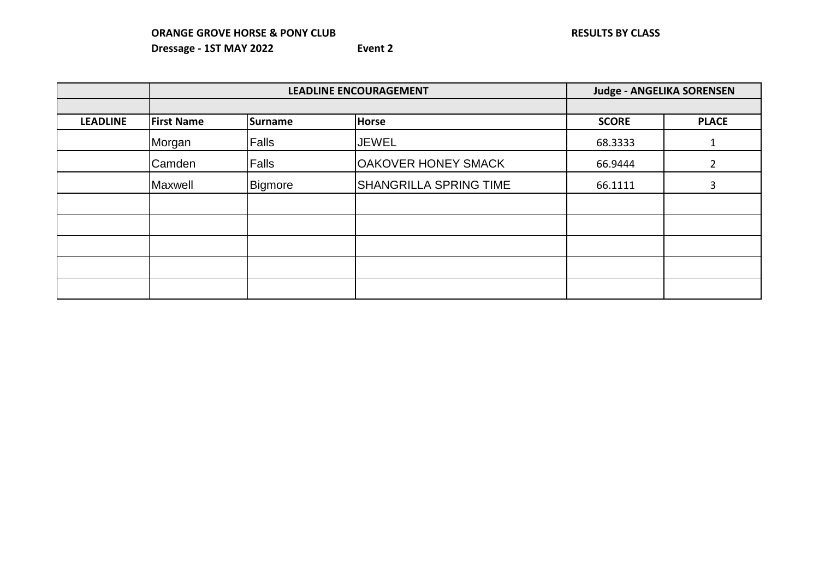|                 |                   | <b>LEADLINE ENCOURAGEMENT</b> |                               |              | <b>Judge - ANGELIKA SORENSEN</b> |
|-----------------|-------------------|-------------------------------|-------------------------------|--------------|----------------------------------|
|                 |                   |                               |                               |              |                                  |
| <b>LEADLINE</b> | <b>First Name</b> | Surname                       | Horse                         | <b>SCORE</b> | <b>PLACE</b>                     |
|                 | Morgan            | <b>Falls</b>                  | <b>JEWEL</b>                  | 68.3333      |                                  |
|                 | Camden            | <b>Falls</b>                  | OAKOVER HONEY SMACK           | 66.9444      |                                  |
|                 | Maxwell           | Bigmore                       | <b>SHANGRILLA SPRING TIME</b> | 66.1111      | 3                                |
|                 |                   |                               |                               |              |                                  |
|                 |                   |                               |                               |              |                                  |
|                 |                   |                               |                               |              |                                  |
|                 |                   |                               |                               |              |                                  |
|                 |                   |                               |                               |              |                                  |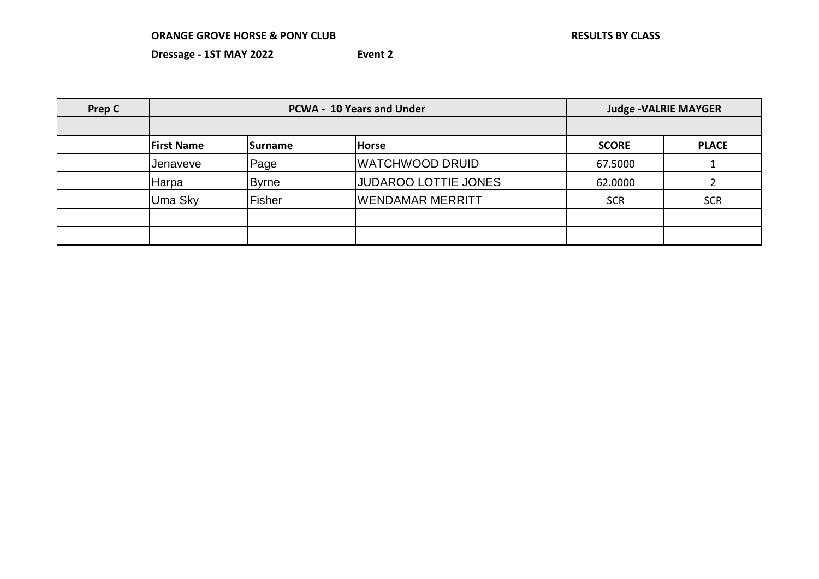| Prep C | <b>PCWA - 10 Years and Under</b> |                |                             |              | <b>Judge -VALRIE MAYGER</b> |
|--------|----------------------------------|----------------|-----------------------------|--------------|-----------------------------|
|        |                                  |                |                             |              |                             |
|        | <b>First Name</b>                | <b>Surname</b> | <b>Horse</b>                | <b>SCORE</b> | <b>PLACE</b>                |
|        | Jenaveve                         | Page           | <b>WATCHWOOD DRUID</b>      | 67.5000      |                             |
|        | Harpa                            | <b>Byrne</b>   | <b>JUDAROO LOTTIE JONES</b> | 62.0000      |                             |
|        | Uma Sky                          | Fisher         | WENDAMAR MERRITT            | <b>SCR</b>   | <b>SCR</b>                  |
|        |                                  |                |                             |              |                             |
|        |                                  |                |                             |              |                             |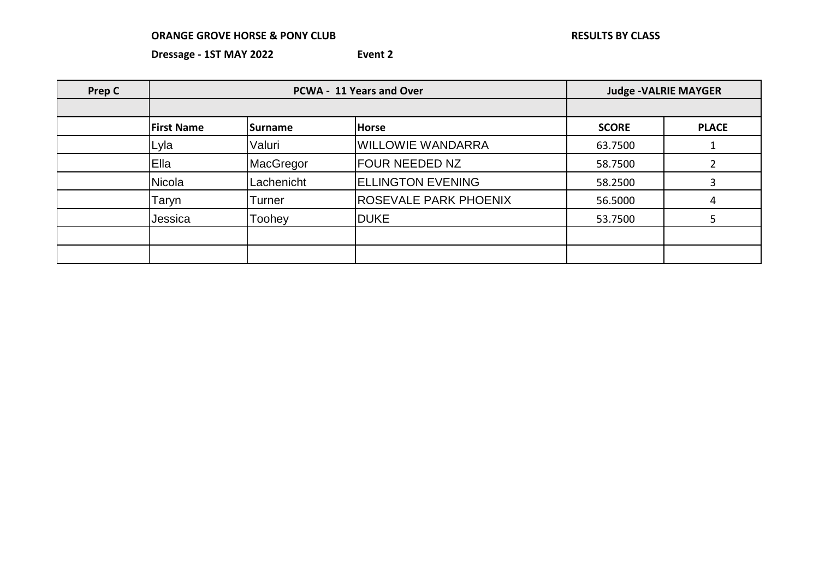| <b>Prep C</b> |                   | PCWA - 11 Years and Over |                              | <b>Judge -VALRIE MAYGER</b> |              |
|---------------|-------------------|--------------------------|------------------------------|-----------------------------|--------------|
|               |                   |                          |                              |                             |              |
|               | <b>First Name</b> | <b>ISurname</b>          | <b>Horse</b>                 | <b>SCORE</b>                | <b>PLACE</b> |
|               | Lyla              | Valuri                   | <b>WILLOWIE WANDARRA</b>     | 63.7500                     |              |
|               | <b>Ella</b>       | MacGregor                | <b>FOUR NEEDED NZ</b>        | 58.7500                     |              |
|               | Nicola            | Lachenicht               | <b>ELLINGTON EVENING</b>     | 58.2500                     |              |
|               | Taryn             | Turner                   | <b>ROSEVALE PARK PHOENIX</b> | 56.5000                     | 4            |
|               | Jessica           | Toohey                   | <b>DUKE</b>                  | 53.7500                     |              |
|               |                   |                          |                              |                             |              |
|               |                   |                          |                              |                             |              |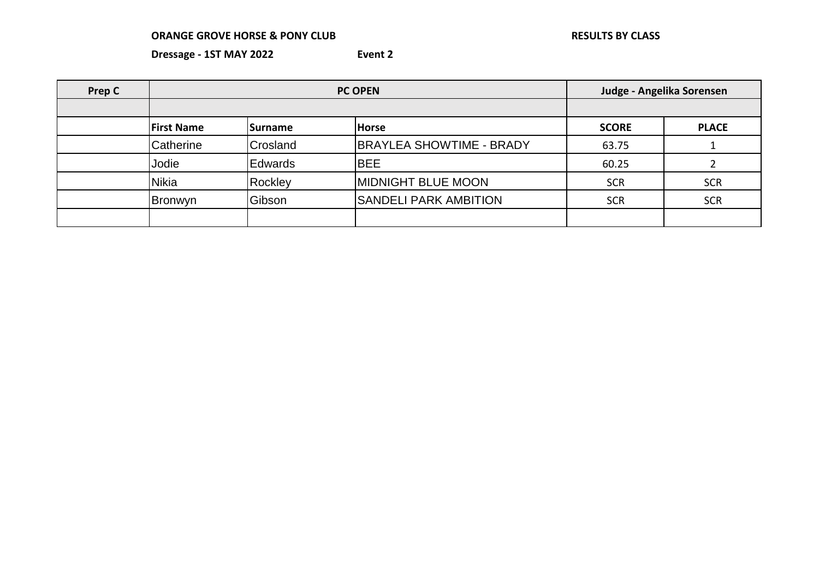| Prep C |                   |                |                                 | Judge - Angelika Sorensen |              |
|--------|-------------------|----------------|---------------------------------|---------------------------|--------------|
|        |                   |                |                                 |                           |              |
|        | <b>First Name</b> | <b>Surname</b> | <b>Horse</b>                    | <b>SCORE</b>              | <b>PLACE</b> |
|        | Catherine         | Crosland       | <b>BRAYLEA SHOWTIME - BRADY</b> | 63.75                     |              |
|        | Jodie             | <b>Edwards</b> | <b>BEE</b>                      | 60.25                     |              |
|        | <b>Nikia</b>      | Rockley        | <b>IMIDNIGHT BLUE MOON</b>      | <b>SCR</b>                | <b>SCR</b>   |
|        | Bronwyn           | Gibson         | <b>SANDELI PARK AMBITION</b>    | <b>SCR</b>                | <b>SCR</b>   |
|        |                   |                |                                 |                           |              |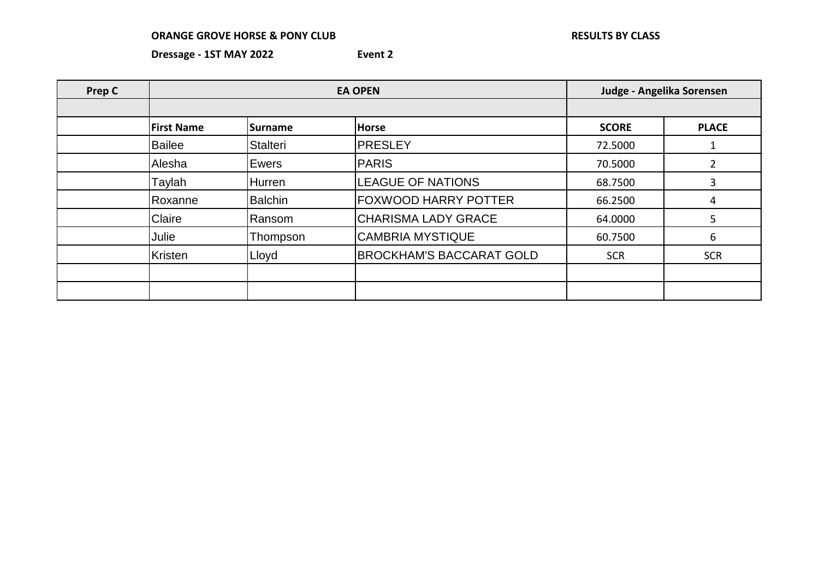| Prep C |                   | <b>EA OPEN</b>  | Judge - Angelika Sorensen       |              |              |
|--------|-------------------|-----------------|---------------------------------|--------------|--------------|
|        |                   |                 |                                 |              |              |
|        | <b>First Name</b> | <b>Surname</b>  | <b>Horse</b>                    | <b>SCORE</b> | <b>PLACE</b> |
|        | <b>Bailee</b>     | <b>Stalteri</b> | <b>PRESLEY</b>                  | 72.5000      | -1           |
|        | Alesha            | Ewers           | <b>PARIS</b>                    | 70.5000      |              |
|        | Taylah            | Hurren          | <b>LEAGUE OF NATIONS</b>        | 68.7500      | 3            |
|        | Roxanne           | <b>Balchin</b>  | FOXWOOD HARRY POTTER            | 66.2500      | 4            |
|        | Claire            | Ransom          | <b>CHARISMA LADY GRACE</b>      | 64.0000      | 5.           |
|        | Julie             | Thompson        | <b>CAMBRIA MYSTIQUE</b>         | 60.7500      | 6            |
|        | Kristen           | Lloyd           | <b>BROCKHAM'S BACCARAT GOLD</b> | <b>SCR</b>   | <b>SCR</b>   |
|        |                   |                 |                                 |              |              |
|        |                   |                 |                                 |              |              |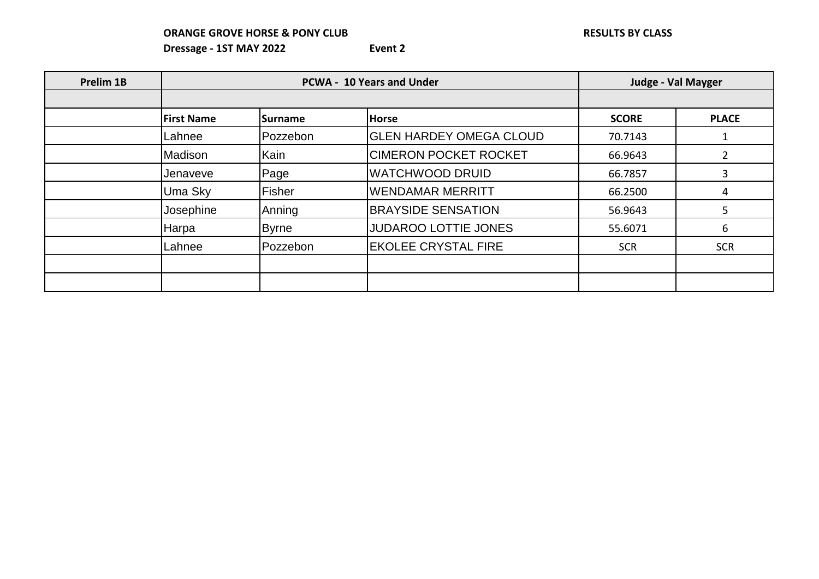| Prelim 1B | <b>PCWA - 10 Years and Under</b> |                 |                                |              | <b>Judge - Val Mayger</b> |
|-----------|----------------------------------|-----------------|--------------------------------|--------------|---------------------------|
|           |                                  |                 |                                |              |                           |
|           | <b>First Name</b>                | <b>ISurname</b> | <b>Horse</b>                   | <b>SCORE</b> | <b>PLACE</b>              |
|           | Lahnee                           | Pozzebon        | <b>GLEN HARDEY OMEGA CLOUD</b> | 70.7143      |                           |
|           | Madison                          | Kain            | <b>CIMERON POCKET ROCKET</b>   | 66.9643      |                           |
|           | Jenaveve                         | Page            | <b>WATCHWOOD DRUID</b>         | 66.7857      | 3                         |
|           | Uma Sky                          | Fisher          | <b>WENDAMAR MERRITT</b>        | 66.2500      | 4                         |
|           | Josephine                        | Anning          | <b>BRAYSIDE SENSATION</b>      | 56.9643      | 5                         |
|           | <b>Harpa</b>                     | <b>Byrne</b>    | <b>JUDAROO LOTTIE JONES</b>    | 55.6071      | 6                         |
|           | Lahnee                           | Pozzebon        | <b>EKOLEE CRYSTAL FIRE</b>     | <b>SCR</b>   | <b>SCR</b>                |
|           |                                  |                 |                                |              |                           |
|           |                                  |                 |                                |              |                           |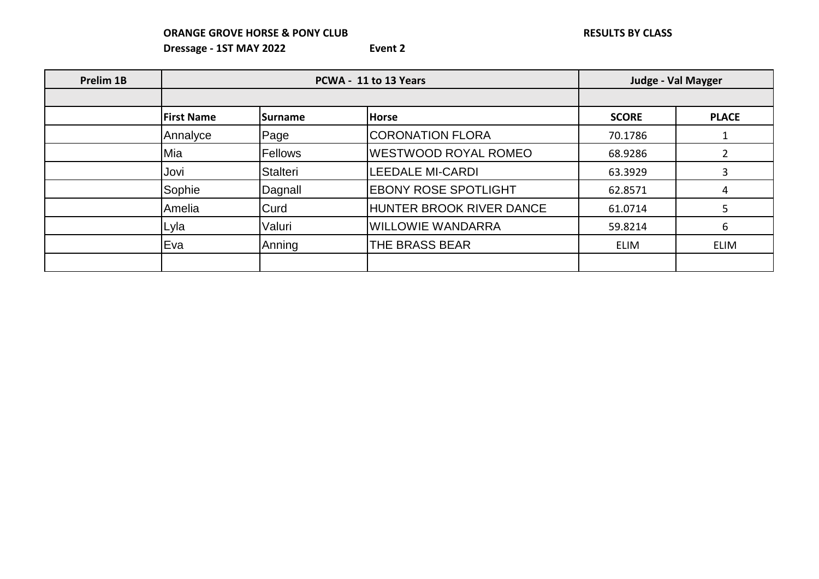| Prelim 1B |                   | PCWA - 11 to 13 Years |                             |              | <b>Judge - Val Mayger</b> |
|-----------|-------------------|-----------------------|-----------------------------|--------------|---------------------------|
|           |                   |                       |                             |              |                           |
|           | <b>First Name</b> | <b>ISurname</b>       | <b>Horse</b>                | <b>SCORE</b> | <b>PLACE</b>              |
|           | Annalyce          | Page                  | <b>CORONATION FLORA</b>     | 70.1786      |                           |
|           | Mia               | Fellows               | <b>WESTWOOD ROYAL ROMEO</b> | 68.9286      |                           |
|           | Jovi              | <b>Stalteri</b>       | <b>LEEDALE MI-CARDI</b>     | 63.3929      | 3                         |
|           | Sophie            | Dagnall               | <b>EBONY ROSE SPOTLIGHT</b> | 62.8571      | 4                         |
|           | Amelia            | Curd                  | HUNTER BROOK RIVER DANCE    | 61.0714      | 5                         |
|           | Lyla              | Valuri                | <b>WILLOWIE WANDARRA</b>    | 59.8214      | 6                         |
|           | Eva               | Anning                | THE BRASS BEAR              | <b>ELIM</b>  | <b>ELIM</b>               |
|           |                   |                       |                             |              |                           |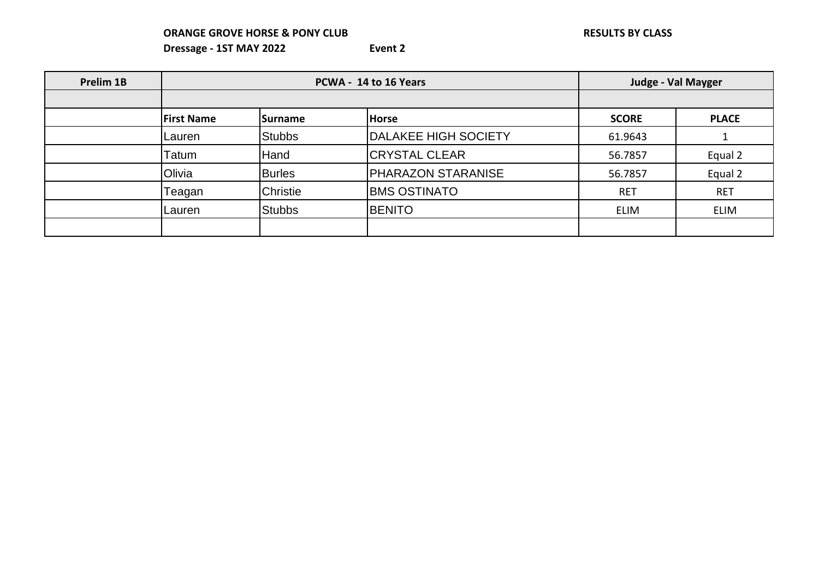| Prelim 1B |                   | PCWA - 14 to 16 Years |                             | <b>Judge - Val Mayger</b> |              |
|-----------|-------------------|-----------------------|-----------------------------|---------------------------|--------------|
|           |                   |                       |                             |                           |              |
|           | <b>First Name</b> | <b>ISurname</b>       | <b>Horse</b>                | <b>SCORE</b>              | <b>PLACE</b> |
|           | Lauren            | <b>Stubbs</b>         | <b>DALAKEE HIGH SOCIETY</b> | 61.9643                   |              |
|           | Гatum             | Hand                  | <b>CRYSTAL CLEAR</b>        | 56.7857                   | Equal 2      |
|           | Olivia            | <b>Burles</b>         | <b>PHARAZON STARANISE</b>   | 56.7857                   | Equal 2      |
|           | Teagan            | <b>Christie</b>       | <b>BMS OSTINATO</b>         | <b>RET</b>                | <b>RET</b>   |
|           | Lauren            | <b>Stubbs</b>         | <b>BENITO</b>               | <b>ELIM</b>               | <b>ELIM</b>  |
|           |                   |                       |                             |                           |              |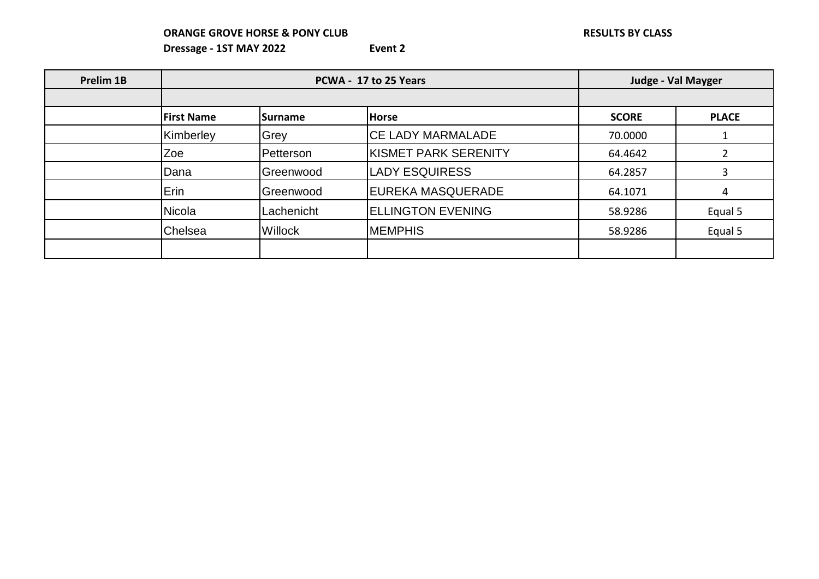| Prelim 1B | PCWA - 17 to 25 Years |                  |                             | <b>Judge - Val Mayger</b> |              |
|-----------|-----------------------|------------------|-----------------------------|---------------------------|--------------|
|           |                       |                  |                             |                           |              |
|           | <b>First Name</b>     | <b>Surname</b>   | <b>Horse</b>                | <b>SCORE</b>              | <b>PLACE</b> |
|           | Kimberley             | Grey             | <b>CE LADY MARMALADE</b>    | 70.0000                   |              |
|           | Zoe                   | <b>Petterson</b> | <b>KISMET PARK SERENITY</b> | 64.4642                   |              |
|           | Dana                  | Greenwood        | <b>LADY ESQUIRESS</b>       | 64.2857                   | 3            |
|           | Erin                  | Greenwood        | EUREKA MASQUERADE           | 64.1071                   | 4            |
|           | <b>Nicola</b>         | Lachenicht       | <b>ELLINGTON EVENING</b>    | 58.9286                   | Equal 5      |
|           | Chelsea               | <b>Willock</b>   | <b>MEMPHIS</b>              | 58.9286                   | Equal 5      |
|           |                       |                  |                             |                           |              |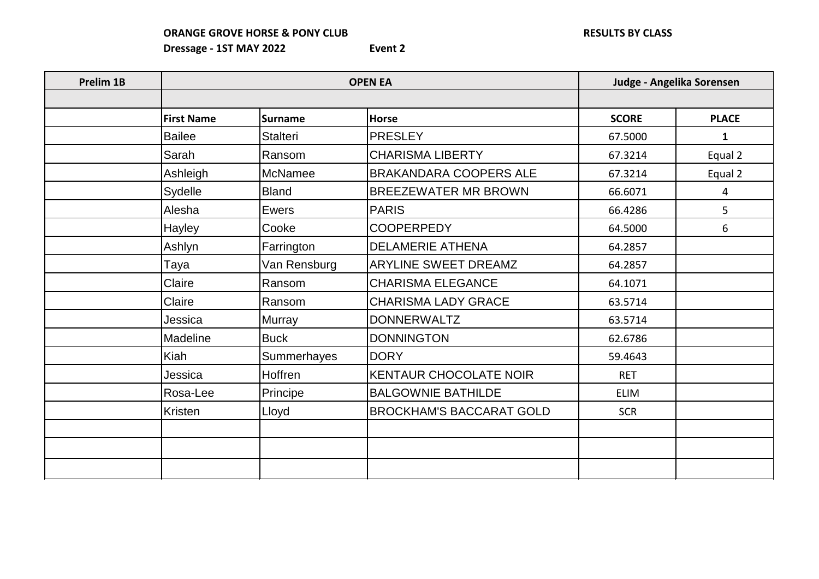| Prelim 1B |                   | <b>OPEN EA</b>  | Judge - Angelika Sorensen       |              |              |
|-----------|-------------------|-----------------|---------------------------------|--------------|--------------|
|           |                   |                 |                                 |              |              |
|           | <b>First Name</b> | Surname         | <b>Horse</b>                    | <b>SCORE</b> | <b>PLACE</b> |
|           | <b>Bailee</b>     | <b>Stalteri</b> | <b>PRESLEY</b>                  | 67.5000      | $\mathbf{1}$ |
|           | Sarah             | Ransom          | <b>CHARISMA LIBERTY</b>         | 67.3214      | Equal 2      |
|           | Ashleigh          | McNamee         | <b>BRAKANDARA COOPERS ALE</b>   | 67.3214      | Equal 2      |
|           | Sydelle           | <b>Bland</b>    | <b>BREEZEWATER MR BROWN</b>     | 66.6071      | 4            |
|           | Alesha            | Ewers           | <b>PARIS</b>                    | 66.4286      | 5            |
|           | Hayley            | Cooke           | <b>COOPERPEDY</b>               | 64.5000      | 6            |
|           | Ashlyn            | Farrington      | <b>DELAMERIE ATHENA</b>         | 64.2857      |              |
|           | Taya              | Van Rensburg    | <b>ARYLINE SWEET DREAMZ</b>     | 64.2857      |              |
|           | Claire            | Ransom          | <b>CHARISMA ELEGANCE</b>        | 64.1071      |              |
|           | Claire            | Ransom          | <b>CHARISMA LADY GRACE</b>      | 63.5714      |              |
|           | Jessica           | <b>Murray</b>   | <b>DONNERWALTZ</b>              | 63.5714      |              |
|           | Madeline          | <b>Buck</b>     | <b>DONNINGTON</b>               | 62.6786      |              |
|           | Kiah              | Summerhayes     | <b>DORY</b>                     | 59.4643      |              |
|           | Jessica           | Hoffren         | <b>KENTAUR CHOCOLATE NOIR</b>   | <b>RET</b>   |              |
|           | Rosa-Lee          | Principe        | <b>BALGOWNIE BATHILDE</b>       | <b>ELIM</b>  |              |
|           | Kristen           | Lloyd           | <b>BROCKHAM'S BACCARAT GOLD</b> | <b>SCR</b>   |              |
|           |                   |                 |                                 |              |              |
|           |                   |                 |                                 |              |              |
|           |                   |                 |                                 |              |              |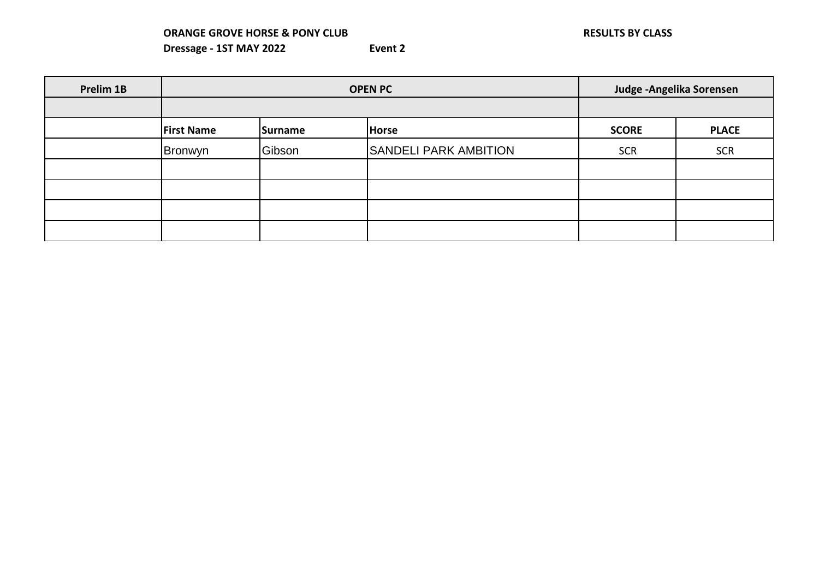| Prelim 1B |                   | <b>OPEN PC</b> | Judge - Angelika Sorensen    |              |              |
|-----------|-------------------|----------------|------------------------------|--------------|--------------|
|           |                   |                |                              |              |              |
|           | <b>First Name</b> | Surname        | <b>Horse</b>                 | <b>SCORE</b> | <b>PLACE</b> |
|           | Bronwyn           | Gibson         | <b>SANDELI PARK AMBITION</b> | <b>SCR</b>   | <b>SCR</b>   |
|           |                   |                |                              |              |              |
|           |                   |                |                              |              |              |
|           |                   |                |                              |              |              |
|           |                   |                |                              |              |              |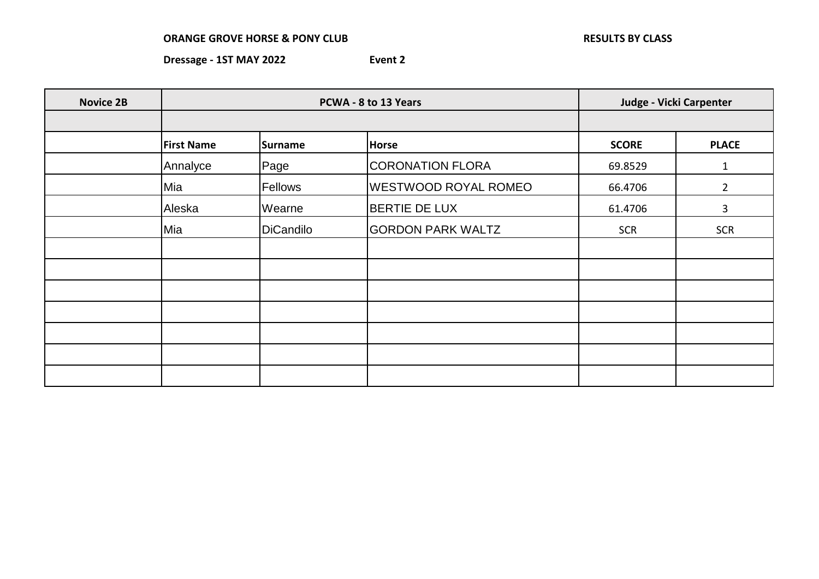| <b>Novice 2B</b> |                   | PCWA - 8 to 13 Years | Judge - Vicki Carpenter     |              |                |
|------------------|-------------------|----------------------|-----------------------------|--------------|----------------|
|                  |                   |                      |                             |              |                |
|                  | <b>First Name</b> | <b>Surname</b>       | <b>Horse</b>                | <b>SCORE</b> | <b>PLACE</b>   |
|                  | Annalyce          | Page                 | CORONATION FLORA            | 69.8529      | $\mathbf{1}$   |
|                  | Mia               | Fellows              | <b>WESTWOOD ROYAL ROMEO</b> | 66.4706      | $\overline{2}$ |
|                  | Aleska            | Wearne               | <b>BERTIE DE LUX</b>        | 61.4706      | 3              |
|                  | Mia               | <b>DiCandilo</b>     | <b>GORDON PARK WALTZ</b>    | <b>SCR</b>   | <b>SCR</b>     |
|                  |                   |                      |                             |              |                |
|                  |                   |                      |                             |              |                |
|                  |                   |                      |                             |              |                |
|                  |                   |                      |                             |              |                |
|                  |                   |                      |                             |              |                |
|                  |                   |                      |                             |              |                |
|                  |                   |                      |                             |              |                |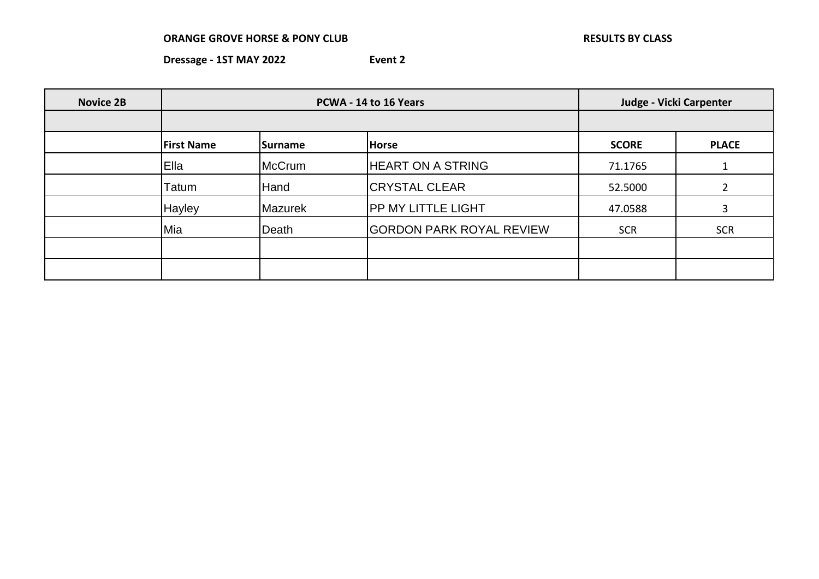| <b>Novice 2B</b> | PCWA - 14 to 16 Years |                 |                                 | Judge - Vicki Carpenter |              |
|------------------|-----------------------|-----------------|---------------------------------|-------------------------|--------------|
|                  |                       |                 |                                 |                         |              |
|                  | <b>First Name</b>     | <b>ISurname</b> | <b>Horse</b>                    | <b>SCORE</b>            | <b>PLACE</b> |
|                  | Ella                  | McCrum          | <b>HEART ON A STRING</b>        | 71.1765                 |              |
|                  | Tatum                 | Hand            | <b>CRYSTAL CLEAR</b>            | 52.5000                 |              |
|                  | Hayley                | Mazurek         | <b>PP MY LITTLE LIGHT</b>       | 47.0588                 | 3            |
|                  | Mia                   | Death           | <b>GORDON PARK ROYAL REVIEW</b> | <b>SCR</b>              | <b>SCR</b>   |
|                  |                       |                 |                                 |                         |              |
|                  |                       |                 |                                 |                         |              |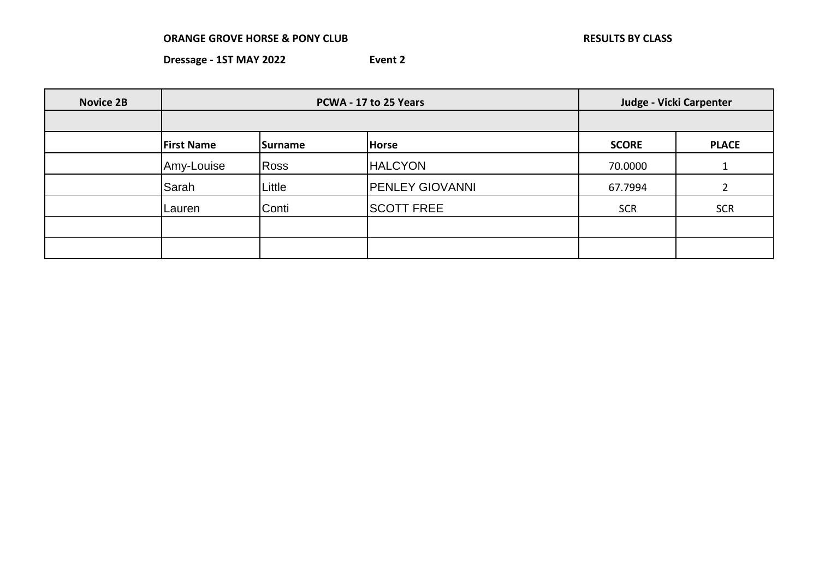| <b>Novice 2B</b> | PCWA - 17 to 25 Years |             |                        |              | Judge - Vicki Carpenter |  |
|------------------|-----------------------|-------------|------------------------|--------------|-------------------------|--|
|                  |                       |             |                        |              |                         |  |
|                  | <b>First Name</b>     | Surname     | Horse                  | <b>SCORE</b> | <b>PLACE</b>            |  |
|                  | Amy-Louise            | <b>Ross</b> | <b>HALCYON</b>         | 70.0000      |                         |  |
|                  | Sarah                 | Little      | <b>PENLEY GIOVANNI</b> | 67.7994      |                         |  |
|                  | Lauren                | Conti       | <b>SCOTT FREE</b>      | <b>SCR</b>   | <b>SCR</b>              |  |
|                  |                       |             |                        |              |                         |  |
|                  |                       |             |                        |              |                         |  |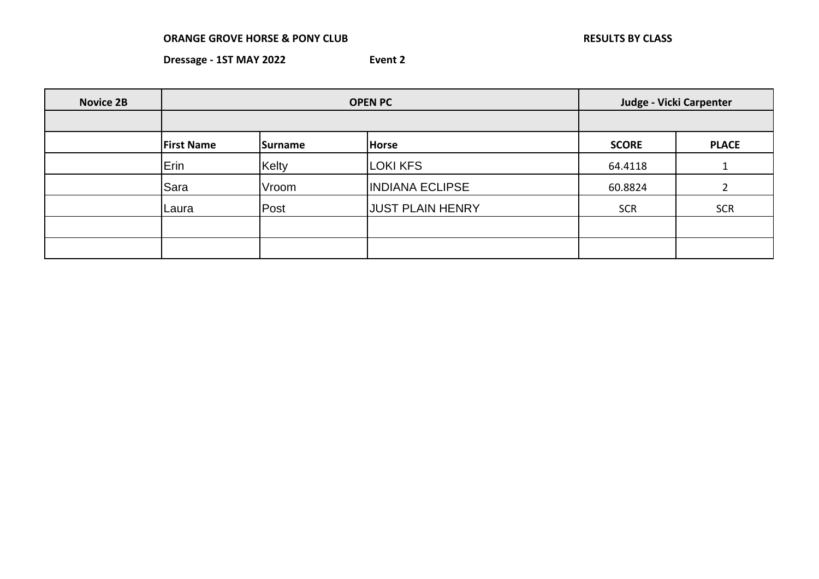×

| <b>Novice 2B</b> | <b>OPEN PC</b>    |                |                         | Judge - Vicki Carpenter |              |
|------------------|-------------------|----------------|-------------------------|-------------------------|--------------|
|                  |                   |                |                         |                         |              |
|                  | <b>First Name</b> | <b>Surname</b> | <b>Horse</b>            | <b>SCORE</b>            | <b>PLACE</b> |
|                  | Erin              | Kelty          | <b>LOKI KFS</b>         | 64.4118                 |              |
|                  | Sara              | Vroom          | <b>INDIANA ECLIPSE</b>  | 60.8824                 |              |
|                  | Laura             | Post           | <b>JUST PLAIN HENRY</b> | <b>SCR</b>              | <b>SCR</b>   |
|                  |                   |                |                         |                         |              |
|                  |                   |                |                         |                         |              |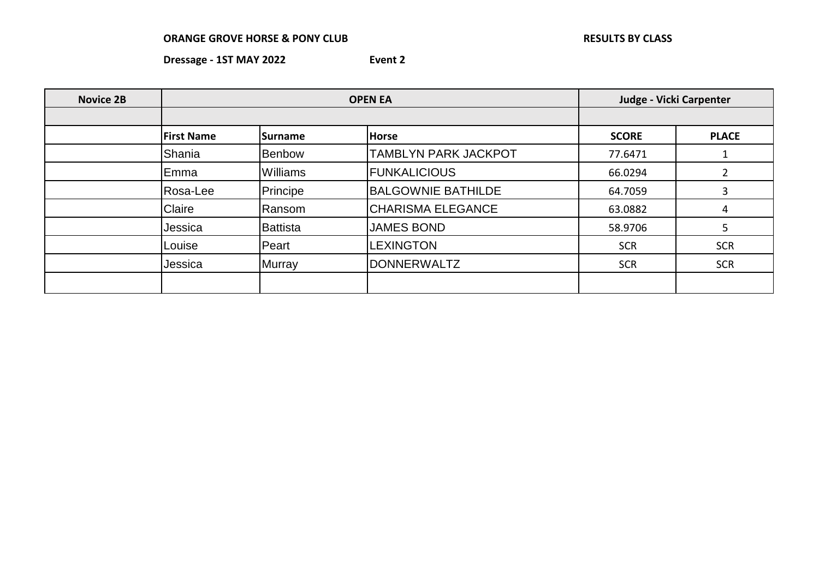| <b>Novice 2B</b> | <b>OPEN EA</b>    |                 |                             |              | Judge - Vicki Carpenter |  |
|------------------|-------------------|-----------------|-----------------------------|--------------|-------------------------|--|
|                  |                   |                 |                             |              |                         |  |
|                  | <b>First Name</b> | <b>Surname</b>  | <b>Horse</b>                | <b>SCORE</b> | <b>PLACE</b>            |  |
|                  | Shania            | <b>Benbow</b>   | <b>TAMBLYN PARK JACKPOT</b> | 77.6471      |                         |  |
|                  | Emma              | <b>Williams</b> | <b>FUNKALICIOUS</b>         | 66.0294      |                         |  |
|                  | Rosa-Lee          | Principe        | <b>BALGOWNIE BATHILDE</b>   | 64.7059      | 3                       |  |
|                  | Claire            | Ransom          | <b>CHARISMA ELEGANCE</b>    | 63.0882      | 4                       |  |
|                  | Jessica           | <b>Battista</b> | <b>JAMES BOND</b>           | 58.9706      | 5                       |  |
|                  | Louise            | Peart           | <b>LEXINGTON</b>            | <b>SCR</b>   | <b>SCR</b>              |  |
|                  | Jessica           | Murray          | <b>DONNERWALTZ</b>          | <b>SCR</b>   | <b>SCR</b>              |  |
|                  |                   |                 |                             |              |                         |  |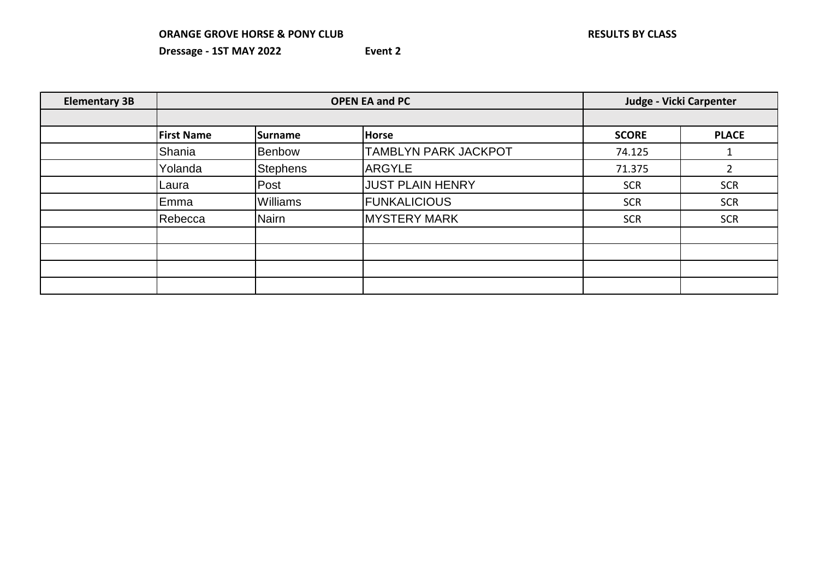| <b>Elementary 3B</b> | <b>OPEN EA and PC</b> |                 |                             | Judge - Vicki Carpenter |              |
|----------------------|-----------------------|-----------------|-----------------------------|-------------------------|--------------|
|                      |                       |                 |                             |                         |              |
|                      | <b>First Name</b>     | Surname         | Horse                       | <b>SCORE</b>            | <b>PLACE</b> |
|                      | Shania                | <b>Benbow</b>   | <b>TAMBLYN PARK JACKPOT</b> | 74.125                  |              |
|                      | Yolanda               | <b>Stephens</b> | <b>ARGYLE</b>               | 71.375                  |              |
|                      | Laura                 | Post            | <b>JUST PLAIN HENRY</b>     | <b>SCR</b>              | <b>SCR</b>   |
|                      | Emma                  | <b>Williams</b> | <b>FUNKALICIOUS</b>         | <b>SCR</b>              | <b>SCR</b>   |
|                      | Rebecca               | Nairn           | <b>MYSTERY MARK</b>         | <b>SCR</b>              | <b>SCR</b>   |
|                      |                       |                 |                             |                         |              |
|                      |                       |                 |                             |                         |              |
|                      |                       |                 |                             |                         |              |
|                      |                       |                 |                             |                         |              |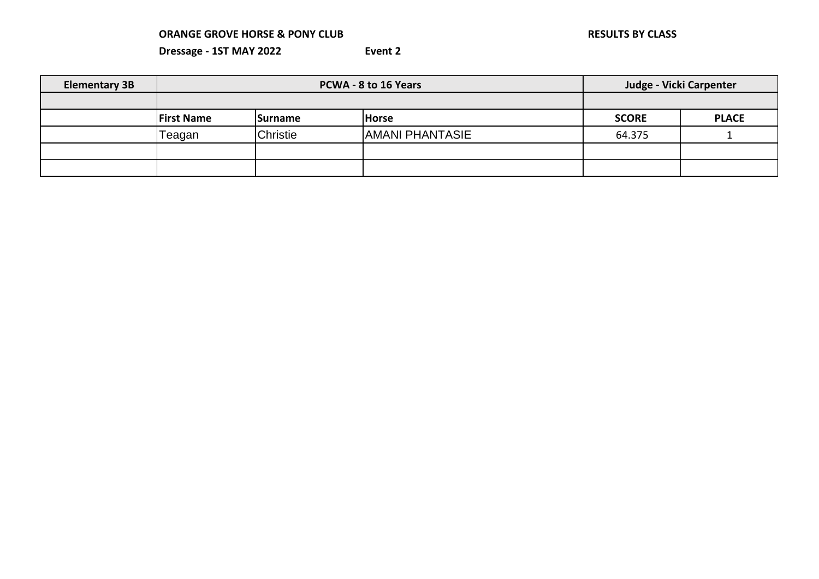| <b>Elementary 3B</b> | <b>PCWA - 8 to 16 Years</b> |                                 |                        | Judge - Vicki Carpenter |              |
|----------------------|-----------------------------|---------------------------------|------------------------|-------------------------|--------------|
|                      |                             |                                 |                        |                         |              |
|                      | <b>First Name</b>           | <b>Horse</b><br><b>ISurname</b> |                        | <b>SCORE</b>            | <b>PLACE</b> |
|                      | Геаgan                      | <b>Christie</b>                 | <b>AMANI PHANTASIE</b> | 64.375                  |              |
|                      |                             |                                 |                        |                         |              |
|                      |                             |                                 |                        |                         |              |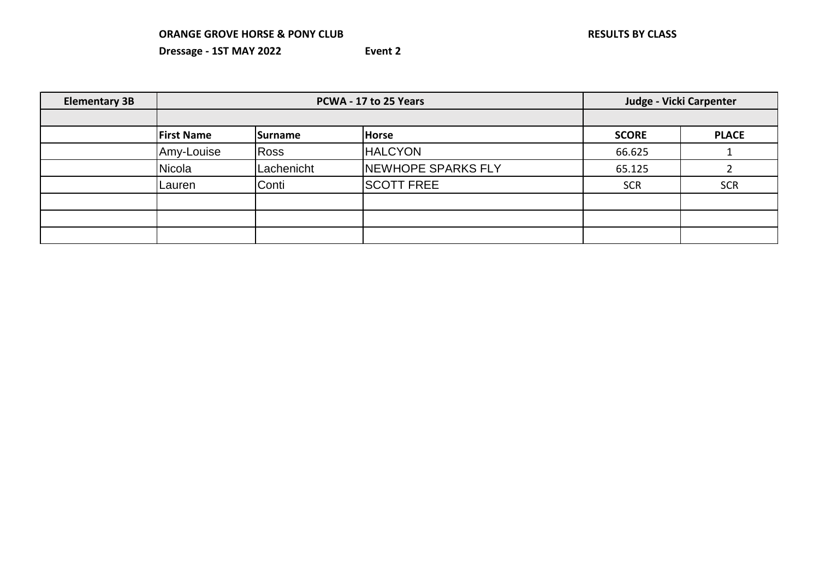| <b>Elementary 3B</b> | PCWA - 17 to 25 Years |             |                    | Judge - Vicki Carpenter |              |
|----------------------|-----------------------|-------------|--------------------|-------------------------|--------------|
|                      |                       |             |                    |                         |              |
|                      | <b>First Name</b>     | Surname     | <b>Horse</b>       | <b>SCORE</b>            | <b>PLACE</b> |
|                      | Amy-Louise            | <b>Ross</b> | <b>HALCYON</b>     | 66.625                  |              |
|                      | <b>Nicola</b>         | Lachenicht  | NEWHOPE SPARKS FLY | 65.125                  |              |
|                      | Lauren                | Conti       | <b>SCOTT FREE</b>  | <b>SCR</b>              | <b>SCR</b>   |
|                      |                       |             |                    |                         |              |
|                      |                       |             |                    |                         |              |
|                      |                       |             |                    |                         |              |